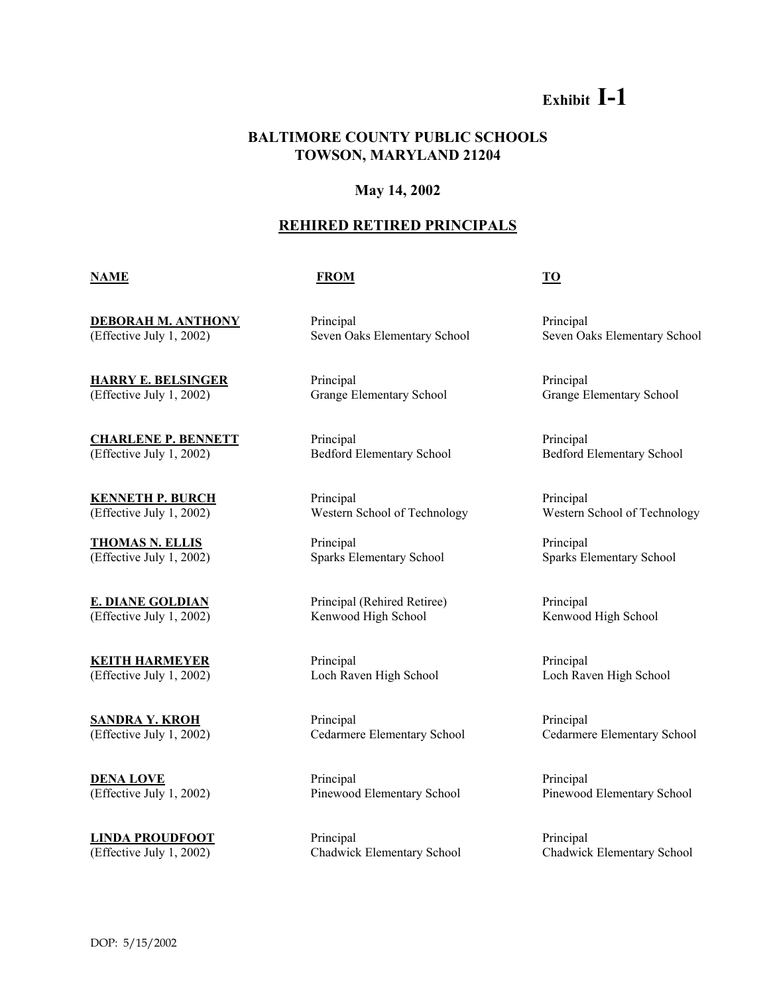# **Exhibit I-1**

## **BALTIMORE COUNTY PUBLIC SCHOOLS TOWSON, MARYLAND 21204**

### **May 14, 2002**

### **REHIRED RETIRED PRINCIPALS**

#### **NAME FROM TO**

**DEBORAH M. ANTHONY** Principal Principal Principal Principal Principal Principal Principal Principal Principal Principal Principal Principal Principal Principal Principal Principal Principal Principal Principal Principal P

**HARRY E. BELSINGER** Principal Principal Principal (Effective July 1, 2002) Grange Elementary School Grange Elementary School

**CHARLENE P. BENNETT** Principal Principal (Effective July 1, 2002) Bedford Elementary School Bedford Elementary School

**E. DIANE GOLDIAN** Principal (Rehired Retiree) Principal

**KENNETH P. BURCH** Principal Principal Principal Principal

**THOMAS N. ELLIS** Principal Principal Principal Principal (Effective July 1, 2002) Sparks Elementary School Sparks Elementary School

(Effective July 1, 2002) Kenwood High School Kenwood High School Kenwood High School

**KEITH HARMEYER** Principal Principal Principal (Effective July 1, 2002) Loch Raven High School Loch Raven High School

**SANDRA Y. KROH** Principal Principal Principal Principal

**DENA LOVE** Principal Principal Principal Principal Principal Principal Principal Principal Principal Principal Principal Principal Principal Principal Principal Principal Principal Principal Principal Principal Principal

**LINDA PROUDFOOT** Principal Principal Principal Principal (Effective July 1, 2002) Chadwick Elementary School Chadwick Elementary School

(Effective July 1, 2002) Seven Oaks Elementary School Seven Oaks Elementary School

(Effective July 1, 2002) Western School of Technology Western School of Technology

(Effective July 1, 2002) Cedarmere Elementary School Cedarmere Elementary School

(Effective July 1, 2002) Pinewood Elementary School Pinewood Elementary School